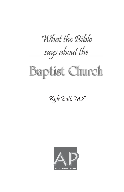# What the Bible says about the

# **Baptist Church**

### Kyle Butt, M.A.

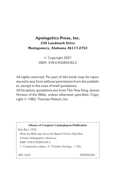#### **Apologetics Press, Inc. 230 Landmark Drive Montgomery, Alabama 36117-2752**

© Copyright 2007 ISBN: 978-0-932859-82-2

All rights reserved. No part of this book may be reproduced in any form without permission from the publisher, except in the case of brief quotations.

All Scripture quotations are from The New King James Version of the Bible, unless otherwise specified. Copyright © 1982, Thomas Nelson, Inc.

#### Library of Congress Cataloging-in-Publication

Kyle Butt, 1976 -

What the Bible says about the Baptist Church/Kyle Butt Includes bibliographic references

ISBN: 978-0-932859-82-2

1. Comparative religion. 2. Christian theology. I. Title

280—dc22 2005926365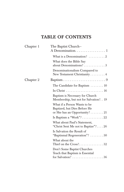### **TABLE OF CONTENTS**

| Chapter 1 | The Baptist Church-<br>A Denomination. 1                                                                                        |
|-----------|---------------------------------------------------------------------------------------------------------------------------------|
|           | What is a Denomination? $\ldots \ldots \ldots 2$                                                                                |
|           | What does the Bible Say<br>about Denominations?3                                                                                |
|           | Denominationalism Compared to<br>New Testament Christianity $\dots \dots 4$                                                     |
| Chapter 2 |                                                                                                                                 |
|           | The Candidate for Baptism $\ldots \ldots \ldots 10$                                                                             |
|           | In Christ $\ldots \ldots \ldots \ldots \ldots \ldots \ldots 16$                                                                 |
|           | Baptism is Necessary for Church<br>Membership, but not for Salvation? 19                                                        |
|           | What if a Person Wants to be<br>Baptized, but Dies Before He<br>or She has an Opportunity? $\dots \dots 21$                     |
|           | Is Baptism a "Work"? 22                                                                                                         |
|           | What about Paul's Statement,<br>"Christ Sent Me not to Baptize"? 26                                                             |
|           | Is Salvation the Result of<br>"Baptismal Regeneration"?  30                                                                     |
|           | What about the                                                                                                                  |
|           | Don't Some Baptist Churches<br>Teach that Baptism is Essential<br>for Salvation? $\ldots \ldots \ldots \ldots \ldots \ldots 36$ |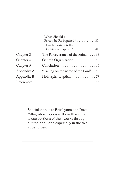|            | When Should a                                    |
|------------|--------------------------------------------------|
|            |                                                  |
|            | How Important is the<br>Doctrine of Baptism?  41 |
| Chapter 3  | The Perseverance of the Saints 43                |
| Chapter 4  | Church Organization 59                           |
| Chapter 5  |                                                  |
| Appendix A | "Calling on the name of the Lord"69              |
| Appendix B | Holy Spirit Baptism 77                           |
| References |                                                  |
|            |                                                  |

Special thanks to Eric Lyons and Dave Miller, who graciously allowed the author to use portions of their works throughout the book and especially in the two appendices.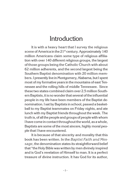### **Introduction**

It is with a heavy heart that I survey the religious scene of America in the  $21^{st}$  century. Approximately 140 million Americans claim some type of religious affiliation with over 140 different religious groups, the largest of those groups being the Catholic Church with about 62 million adherents, and the second largest being the Southern Baptist denomination with 20 million members. I presently live in Montgomery, Alabama, but I spent most of my formative years in the mountains of east Tennessee and the rolling hills of middle Tennessee. Since these two states combined claim over 2.5 million Southern Baptists, it is no wonderthat several ofthe influential people in my life have been members of the Baptist denomination. I sat by Baptists in school, passed a basketball to my Baptist teammates on Friday nights, and ate lunch with my Baptist friends throughout the week. The truth is, of all the people and groups of people with whom I have come in contact throughout the world, as a whole, Baptists are some of the most sincere, highly moral people that I have encountered.

It is because of that sincerity and morality that this book has been written. In the *Baptist Faith and Message*, the denomination states its straightforward belief that "the Holy Bible was written by men divinely inspired and is God's revelation of Himself to man. It is a perfect treasure of divine instruction. It has God for its author,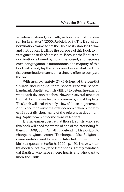salvation for its end, and truth, without any mixture of error, for its matter" (2000, Article I, p. 7). The Baptist denomination claims to set the Bible as its standard of law and instruction. It will be the purpose of this book to investigate the truth of that claim. Because the Baptist denomination is bound by no formal creed, and because each congregation is autonomous, the majority of this book will simply lay the Scriptures beside what the Baptist denomination teaches in a sincere effort to compare the two.

With approximately 27 divisions of the Baptist Church, including Southern Baptist, Free Will Baptist, Landmark Baptist, etc., it is difficult to determine exactly what each division teaches. However, several tenets of Baptist doctrine are held in common by most Baptists. This book will deal with only a few of those major tenets. And, since the Southern Baptist denomination is the largest Baptist division, many of the references documenting Baptist teaching come from its leaders.

It is my earnest desire that those Baptists who read this book will heed the words of one of their founding fathers. In 1609, John Smyth, in defending his position to change religions, wrote: "To change a false Religion is commendable, and to retain a false Religion is damnable" (as quoted in McBeth, 1990, p. 19). I have written this book out of love, in order to speak directly to individual Baptists who have sincere hearts and who want to know the Truth.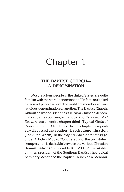## Chapter 1

#### **THE BAPTIST CHURCH— A DENOMINATION**

Most religious people in the United States are quite familiar with the word "denomination." In fact, multiplied millions of people all over the world are members of one religious denomination or another. The Baptist Church, without hesitation, identifies itself as a Christian denomination. James Sullivan, in his book,*Baptist Polity: As I See It,* wrote an entire chapter titled "Typical Kinds of Denominational Structures." In that chapter he repeatedly discussed the Southern Baptist **denomination** (1998, pp. 45-58). In the *Baptist Faith and Message*, under Article XIV titled "Cooperation," the text states: "cooperation is desirable betweenthe various Christian **denominations**" (emp. added). In 2001, Albert Mohler Jr., then-president of the Southern Baptist Theological Seminary, described the Baptist Church as a "denomi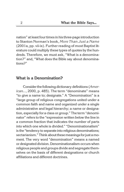nation" at least four times in his three-page introduction to Stanton Norman's book, *More Than Just a Name* (2001a, pp. vii-ix). Further reading of most Baptist literature could multiply these types of quotes by the hundreds. Therefore, we must ask, "What is a denomination?" and, "What does the Bible say about denominations?"

#### **What is a Denomination?**

Consider the following dictionary definitions (*American...*, 2000, p. 485). The term "denominate" means "to give a name to; designate." A "Denomination" is a "large group of religious congregations united under a common faith and name and organized under a single administrative and legal hierarchy; a name or designation, especially for a class or group." The term "denominator" refers to the "expression written below the line in a common fraction that indicates the number of parts into which one whole is divided." "Denominationalism" is the "tendency to separate into religious denominations; sectarianism." Think about these meanings for just a moment. The very word "denomination" means a named or designated division. Denominationalism occurs when religious people and groups divide and segregate themselves on the basis of different designations or church affiliations and different doctrines.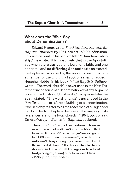#### **What does the Bible Say about Denominations?**

Edward Hiscox wrote *The Standard Manual for Baptist Churches.*By 1951, at least 160,000 of hismanuals were in print. In his section titled "Church-membership," he wrote: "It is most likely that in the Apostolic age when there was but 'one Lord, one faith, and one baptism,' and **no differing denominations** existed, the baptism of a convert by the very act constituted him a member of the church" (1903, p. 22, emp. added). Herschel Hobbs, in his book, *What Baptists Believe,* wrote: "The word 'church' is never used in the New Testament inthe sense of a denomination or of any segment of organized historic Christianity." Two pages later, he again stated: "The word 'church' is never used in the New Testament to refer to a building or a denomination. It is used only to refer to all the redeemed of all ages and to a local body of baptized believers. The majority of its references are to the local church" (1964, pp. 75, 77). Ernest Mosley, in *Basics for Baptists*, declared:

The word *church* in the New Testament is never used to refer to a building—"Our church is south of town on Highway 29"; an activity—"Are you going to 11:00 a.m. church tomorrow?"; **or a denomination**—"I always thought you were a member of the Methodist church." **It refers either to the redeemed in Christ of all the ages or to a local body (congregation) of believers in Christ**…" (1996, p. 55, emp. added).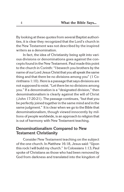By looking at these quotes from several Baptist authorities, it is clear they recognized that the Lord's church in the New Testament was not described by the inspired writers as a denomination.

In fact, the idea of Christianity being split into various divisions or denominations goes against the concepts found in the New Testament. Paul made this point to the church in Corinth: "I beseech you brothers by the name of our Lord Jesus Christ that you all speak the same thing and that there be no divisions among you" (1 Corinthians 1:10). Here is a passage that says divisions are not supposed to exist. "Let there be no divisions among you." If a denomination is a "designated division," then denominationalism is clearly against the will of Christ (John 17:20-21). The passage continues, "but that you be perfectly joined together in the same mind and in the same judgment." It is clear when we go to the Bible that denominationalism, though viewed innocently by millions of people worldwide, is an approach to religion that is out of harmony with New Testament teaching.

#### **Denominationalism Compared to New Testament Christianity**

Consider New Testament teaching on the subject of the one church. In Matthew 16:18, Jesus said: "Upon this rock I will build my church." In Colossians 1:13, Paul spoke of Christians as those who had been removed by God from darkness and translated into the kingdom of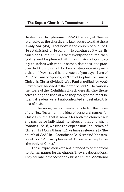His dear Son. In Ephesians 1:22-23, the body of Christ is referred to as the church, and later we are told that there is only **one** (4:4). That body is the church of our Lord. He established it; He built it; He purchased it with His own blood (Acts 20:28). If there is only one church, then God cannot be pleased with the division of competing churches with various names, doctrines, and practices. In 1 Corinthians 1:12, Paul wrote concerning such division: "Now I say this, that each of you says, 'I am of Paul,' or 'I am of Apollos,' or 'I am of Cephas,' or 'I am of Christ.' Is Christ divided? Was Paul crucified for you? Or were you baptized in the name of Paul?" The various members of the Corinthian church were dividing themselves along the lines of who they thought the most influential leaders were. Paul confronted and rebuked this idea of division.

Furthermore, we find clearly depicted on the pages of the New Testament the idea of scriptural names for Christ's church, that is, names for both the church itself and names for individual members of that church. In Romans 16:16, we find the expression "churches of Christ." In 1 Corinthians 1:2, we have a reference to "the church of God." In 1 Corinthians 3:16, we find "the temple of God." And in Ephesians 4:12, we have the phrase "the body of Christ."

These expressions are not intended to be technical nor formal names for the church. They are descriptions. They are labels that describe Christ's church. Additional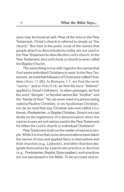ones may be found as well. Most of the time in the New Testament, Christ's church is referred to simply as "the church." But here is the point: most of the names that people attach to denominations today are not used in the New Testament to describe the Lord's church. In the New Testament, the Lord's body or church is never called the Baptist Church.

The same thing is true with regard to the names that God wants individual Christians to wear. In the New Testament, we read that followers of Christ were called Christians (Acts 11:26). In Romans 1:7, we find the term "saints," and in Acts 5:14, we find the term "believer" applied to Christ's followers. In other passages, we find the word "disciple," or familial names like "brother" and the "family of God." Yet, we never read of a person being called a Pauline Christian, or an Apollonian Christian, nor do we read that any Christian was ever called a Lutheran, Presbyterian, or Baptist Christian. Does it not cast doubt on the legitimacy of a denomination when the names it uses are not names used in the New Testament for either the Lord's church or individual Christians?

New Testament truth on the matter of names is simple. While it is true that some denominations have taken the names of men and applied them to themselves and their churches (e.g., Lutheran), and other churches designate themselves by a particular practice or doctrine (e.g., Presbyterian, Baptist, Episcopalian), such practices are not sanctioned in the Bible. To be accurate and ac-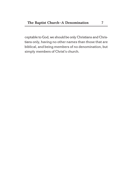ceptable to God, we should be only Christians and Christians only, having no other names than those that are biblical, and being members of no denomination, but simply members of Christ's church.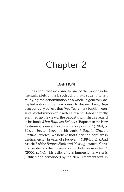## Chapter 2

#### **BAPTISM**

It is here that we come to one of the most fundamental beliefs of the Baptist church—baptism. When studying the denomination as a whole, a generally accepted notion of baptism is easy to discern. First, Baptists correctly believe that New Testament baptism consists of total immersion in water. Herschel Hobbs correctly summed up the view of the Baptist church in this regard in his book *What Baptists Believe*: "Baptism in the New Testament is never by sprinkling or pouring" (1964, p. 83). J. Newton Brown, in his work, *A Baptist Church Manual*, wrote: "We believe that Christian baptism is the immersion in water of a believer…" (1994, p. 24). And Article 7 ofthe*Baptist Faith and Message* states: "Christian baptism is the immersion of a believer in water..." (2000, p. 14). This belief of total immersion in water is justified and demanded by the New Testament text. In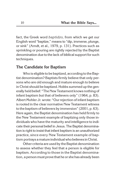fact, the Greek word *baptidzo,* from which we get our English word "baptize," means to "dip, immerse, plunge, or sink" (Arndt, et al., 1979, p. 131). Practices such as sprinkling or pouring are rightly rejected by the Baptist denomination due to the lack of biblical support for such techniques.

#### **The Candidate for Baptism**

Who is eligible to be baptized, according to the Baptist denomination? Baptists firmly believe that only persons who are old enough and mature enough to believe in Christ should be baptized. Hobbs summed up the generally held belief: "The New Testament knows nothing of infant baptism but that of believers only" (1964, p. 83). Albert Mohler Jr. wrote: "Our rejection of infant baptism is rooted in the clear normative New Testament witness to the baptism of believers by immersion" (2001, p. 63). Here again, the Baptist denomination has held firmly to the New Testament example of baptizing only those individuals who have the maturity and intelligence to indicate their personal belief in Jesus. The Baptist denomination is right to insist that infant baptism is an unauthorized practice, since every New Testament example of baptism portrays amature individualwho believes inChrist.

Other criteria are used by the Baptist denomination to assess whether they feel that a person is eligible for baptism. According to those in the Baptist denomination, a person must prove that he or she has already been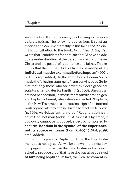saved by God through some type of saving experience before baptism. The following quotes from Baptist authorities and documents testify to this fact. Fred Malone, in his contribution to the book, *Why I Am A Baptist,* wrote that "candidates for baptism should have an adequate understanding of the person and work of Jesus Christ and the gospel of repentance and faith…. This requires that the faith **and salvation experience of an individual must be examined before baptism**" (2001, p. 139, emp. added). In the same book, Donna Ascol made the following statement: "I am convinced by Scripture that only those who are saved by God's grace are scriptural candidates for baptism" (p. 158). She further defined her position, in words more familiar to the general Baptist adherent, when she commented: "Baptism, in the New Testament, is an external sign of an internal work of grace already attained in the heart of the believer" (p. 159). As Hobbs further noted: "Regeneration is an act of God, not man (John 1:13). Since it is by grace, it obviously cannot be produced, aided, or completed by baptism. **Baptism is the symbol of the experience, not its source or means** (Rom. 6:4-5)" (1964, p. 99, emp. added).

With this point of Baptist doctrine, the New Testament does not agree. As will be shown in the next several pages, no person in the New Testament was ever asked to produce proofthat he or she was already saved **before** being baptized. In fact, the New Testament in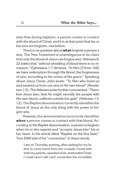sists that during baptism, a person comes in contact with the blood of Christ, and it is at that point that his or her sins are forgiven—not before.

There is no question about **what**forgives a person's sins. The New Testament is unambiguous in its claim that only the blood of Jesus can forgive sins. Hebrews 9: 22 states that "without shedding of blood there is no remission." Ephesians 1:7 declares: "In Him [Christ—KB] we have redemption through His blood, the forgiveness of sins, according to the riches of His grace." Speaking about Jesus Christ, John wrote: "To Him who loved us and washed us from our sins in His own blood" (Revelation 1:5). The Hebrews writer further commented: "Therefore Jesus also, that He might sanctify the people with His own blood, suffered outside the gate" (Hebrews 13: 12). The Baptist denomination correctly identifies the blood of Jesus as the only thing with the power to forgive sins.

However, the denomination incorrectly identifies **when** a person comes in contact with that blood. According to the Baptist denomination, a person is forgiven when he or she repents and "accepts Jesus into" his or her heart. In his article titled "Baptist on the Hot Seat," Tom Elliff told of his "conversion" in these words.

Late on Thursday evening, after waiting for my father to come home from the crusade, I knelt with both my parents, repented of sin, and trusted Christ. I could (and I still can!) remember the incredible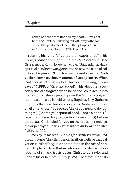sense of peace that flooded my heart…. I was not baptized until the following fall, after my father assumed the pastorate of the Bethany Baptist Church in Kansas City, Missouri (2001, p. 131).

In relating his father's "conversion experience" in his book, *Foundations of the Faith: The Doctrines Baptists Believe*, Roy T. Edgemon wrote: "Suddenly, my dad's spiritual blindness was gone, and he saw the truth of salvation. He prayed, 'God, forgive me and save me.' **Salvation came at that moment of acceptance**. When Dad accepted Christ and let Christ do the saving, he was saved" (1999, p. 72, emp. added). This view, that a person's sins are forgiven when he or she "asks Jesus into his heart," or when a person prays the "sinner's prayer," is almost universally held among Baptists. Billy Graham, arguably the most famous Southern Baptist evangelist of all time, wrote: "To receive Christ you need to do four things: (1) Admit your spiritual need. 'I am a sinner'; (2) repent and be willing to turn from your sin; (3) believe that Jesus Christ died for you on the cross; (4) receive, through prayer, Jesus Christ into your heart and life" (1996, p. 11).

Mosley, in his work, *Basics for Baptists*, wrote: "Although some Christian denominations believe that salvation is either begun or completed in the act of baptism, Baptists believe that salvation occurs when a person repents of sin and trusts Jesus Christ to be Savior and Lord of his or her life" (1996, p. 25). Therefore, Baptists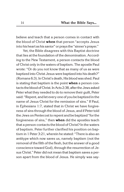believe and teach that a person comes in contact with the blood of Christ **when** that person "accepts Jesus into his heart as his savior" or praysthe "sinner's prayer."

Yet, the Bible disagrees with this Baptist doctrine that lies at the foundation of the denomination. According to the New Testament, a person contacts the blood of Christ only in the waters of baptism. The apostle Paul wrote: "Or do you not know that as many of us as were baptized into Christ Jesus were baptized into his death?" (Romans 6:3). In Christ's death, His blood was shed. Paul is stating that baptism is the point **when** a person contacts the blood of Christ. In Acts 2:38, after the Jews asked Peter what they needed to do to remove their guilt, Peter said: "Repent, and let every one of you be baptized inthe name of Jesus Christ for the remission of sins." If Paul, in Ephesians 1:7, stated that in Christ we have forgiveness of sins through the blood of Jesus, and if Peter told the Jews on Pentecostto repent and be baptized "forthe forgiveness of sins," then **when** did the apostles teach that a person contacts the blood of Christ? In the waters of baptism. Peter further clarified his position on baptism in 1 Peter 3:21, wherein he stated: "There is also an antitype which now saves us, namely baptism (not the removal of the filth of the flesh, but the answer of a good conscience toward God), through the resurrection of Jesus Christ." Peter did not mean that baptism saves a person apart from the blood of Jesus. He simply was say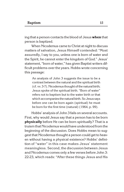ing that a person contacts the blood of Jesus **when** that person is baptized.

When Nicodemus came to Christ at night to discuss matters of salvation, Jesus Himself contended: "Most assuredly, I say to you, unless one is born of water and the Spirit, he cannot enter the kingdom of God." Jesus' statement, "born of water," has given Baptist writers difficult problems over the years. Hobbs wrote concerning this passage:

An analysis of John 3 suggests the issue to be a contrast between the natural and the spiritual birth (cf. vv. 3-7). Nicodemus thought of the natural birth; Jesus spoke of the spiritual birth. "Born of water" refers not to baptism but to the water birth or that which accompanies the natural birth. So Jesus says before one can be born again (spiritual) he must be born for the first time (natural) (1964, p. 99).

Hobbs' analysis of John 3 fails on several accounts. First, why would Jesus say that a person has to be born **physically** before He can be born spiritually? That is a truismthat Nicodemus would have understoodfromthe beginning of the discussion. Does Hobbs mean to suggest that Nicodemus thought a person could get to heaven without having a physical existence? Hobbs' definition of "water" in this case makes Jesus' statement meaningless. Second, the discussion between Jesus and Nicodemus comes only a few verses before John 3: 22-23, which reads: "After these things Jesus and His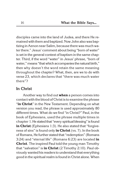disciples came into the land of Judea, and there He remained with them and baptized. Now John also was baptizing inAenon near Salim, because there was much water there." Jesus' comment about being "born of water" is set in the general context of baptism in the same chapter. Third, if the word "water" in Jesus' phrase, "born of water," means "that which accompanies the natural birth," then why doesn't the word retain the same meaning throughout the chapter? What, then, are we to do with verse 23, which declares that "there was much water there"?

#### **In Christ**

Another way to find out **when** a person comes into contact with the blood of Christ is to examine the phrase "**in Christ**" in the New Testament. Depending on what version you read, the phrase is used approximately 80 different times. What do we find "in Christ?" Paul, in the book of Ephesians, used the phrase multiple times in chapter 1. He stated that "every spiritual blessing" is found **in Christ** (Ephesians 1:3). He also stated that "forgiveness of sins" is found only **in Christ**(vs. 7). In the book of Romans, He further stated that "redemption" (Romans 3:24) and "eternal life" (Romans 6:23) are located **in Christ**. The inspired Paul told the young man Timothy that "salvation" is **in Christ** (2 Timothy 2:10). Paul obviously wanted his readers to understand that everything good in the spiritual realm is found in Christ alone. When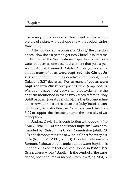discussing things outside of Christ, Paul painted a grim picture of a place without hope and without God (Ephesians 2:12).

After looking at the phrase "in Christ," the question arises: How does a person get into Christ? It is interesting to note that the New Testament specifically mentions water baptism as one essential element that puts a person into Christ. Romans 6:3 states: "Or do you not know that as many of us as **were baptized into Christ Jesus** were baptized into His death?" (emp added). And Galatians 3:27 declares: "For as many of you as **were baptized into Christ** have put on Christ" (emp. added). While some have incorrectly attempted to claim that the baptism mentioned in these two verses refers to Holy Spirit baptism (see Appendix B), the Baptist denomination as a whole does not resort to this faulty line of reasoning. In fact, Baptists often use Romans 6:3 and Galatians 3:27 to support their insistence upon the necessity of water baptism.

Andrew Davis, in his contribution to the book, *Why I Am A Baptist,* wrote that water baptism "was commanded by Christ in the Great Commission (Matt. 28: 19) and demonstrates the new life in Christ for every disciple (Rom. 6)" (2001, p. 118). His clear reference to Romans 6 shows that he understands water baptism is under discussion in that chapter. Hobbs, in *What Baptists Believe*, wrote: "Baptism is the symbol of the experience, not its source or means (Rom. 6:4-5)" (1964, p.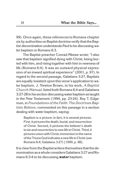99). Once again, these references to Romans chapter six by authorities on Baptist doctrine verify that the Baptist denomination understands Paul to be discussing water baptism in Romans 6:3.

The Baptist preacher Conrad Mbewe wrote: "I also saw that baptism signified dying with Christ, being buried with him, and rising together with him in newness of life (Romans 6:4). It was an outward physical expression of an inward spiritual experience" (2001, p. 97). In regard to the second passage, Galatians 3:27, Baptists are equally insistent upon this verse's application to water baptism. J. Newton Brown, in his work, *A Baptist Church Manual,* listed both Romans 6:4 and Galatians 3:27-28 inhis section discussingwater baptism astaught in the New Testament (1994, pp. 23-24). Roy T. Edgemon, in *Foundations of the Faith: The Doctrines Baptists Believe*, commented on this passage in a section dealing with water baptism, saying:

Baptism is a picture; in fact, it is several pictures. First, it pictures the death, burial, and resurrection of Christ. Second, it pictures the believer's death to sin and resurrectionto new life in Christ. Third, it pictures union with Christ; immersion in the name of the Triune God indicates a new life in Christ (see Romans 6:4; Galatians 3:27) [1999, p. 98].

It is clear from the Baptist writers themselves that the denomination as a whole considers Galatians 3:27 and Romans 6:3-4 to be discussing **water** baptism.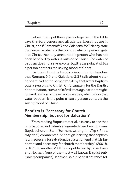Let us, then, put these pieces together. If the Bible says that forgiveness and all spiritual blessings are in Christ, and if Romans 6:3 and Galatians 3:27 clearly state that water baptism is the point at which a person gets into Christ, then any accountable person who has not been baptized by water is outside of Christ. The water of baptism does not save anyone, but it is the point at which a person contacts the saving blood of Christ.

It is ironic that the Baptist denomination teaches that Romans 6:3 and Galatians 3:27 talk about water baptism, yet at the same time deny that water baptism puts a person into Christ. Unfortunately for the Baptist denomination, such a belief militates against the straightforward reading of these two passages, which show that water baptism is the point **when** a person contacts the saving blood of Christ.

#### **Baptism is Necessary for Church Membership, but not for Salvation?**

From reading Baptist material, it is easy to see that only baptized individuals are granted membership in any Baptist church. Stan Norman, writing in *Why I Am a Baptist?,* commented: "Although insisting that baptism is unnecessary for salvation, Baptists contend that it is important and necessary for church membership" (2001b, p. 185). In another 2001 book published by Broadman and Holman (one of the most well-known Baptist publishing companies), Norman said: "Baptist churches fol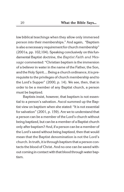low biblical teachings when they allow only immersed person into their memberships." And again, "Baptism is also a necessary requirement for church membership" (2001a, pp. 102,104). Speaking conclusively on this fundamental Baptist doctrine, the *Baptist Faith and Message* commented: "Christian baptism is the immersion of a believer in water in the name of the Father, the Son, and the Holy Spirit.... Being a church ordinance, it is prerequisite to the privileges of church membership and to the Lord's Supper" (2000, p. 14). We see, then, that in order to be a member of any Baptist church, a person must be baptized.

Baptists insist, however, that baptism is not essential to a person's salvation. Ascol summed up the Baptist view on baptism when she stated: "It is not essential for salvation" (2001, p. 159). Are we to understand that a person can be a member of the Lord's church without being baptized, but can be a member of a Baptist church only after baptism? And, if a person can be a member of the Lord's saved without being baptized, then that would mean that the Baptist denomination is not the Lord's church. In truth, it is through baptism that a person contacts the blood of Christ. And no one can be saved without coming in contact with that blood through water baptism.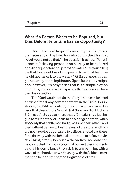#### **What if a Person Wants to be Baptized, but Dies Before He or She has an Opportunity?**

One of the most frequently used arguments against the necessity of baptism for salvation is the idea that "God would not dothat." The question is asked, "What if a sincere believing person is on his way to be baptized and dies right before he gets to the water? Are you telling me that God would send that person to hell just because he did not make it to the water?" At first glance, this argument may seem legitimate. Upon further investigation, however, it is easy to see that it is a simple play on emotions, and in no way disproves the necessity of baptism for salvation.

The "God-would-not-do-that" argument can be used against almost any commandment in the Bible. For instance, the Bible repeatedly says that a person must believe that Jesus is the Son of God (Romans 10:11; John 8:24; et al.). Suppose, then, that a Christian had just begun to tell the story of Jesus to an older gentleman, when suddenly that gentleman had a massive heart attack and died without getting to hear the rest of the story, and thus did not have the opportunity to believe. Should we, therefore, do away with the biblical command to believe in Jesus Christ, simply because a theoretical scenario can be concocted in which a potential convert dies moments before his compliance? To ask is to answer. Nor, with a wave of the hand, can we do away with the biblical command to be baptized for the forgiveness of sins.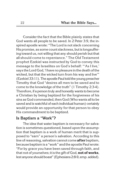Consider the fact that the Bible plainly states that God wants all people to be saved. In 2 Peter 3:9, the inspired apostle wrote: "The Lord is not slack concerning His promise, as some count slackness, but is longsuffering toward us, not willing that any should perish but that all should come to repentance." The Old Testament prophet Ezekiel was instructed by God to convey this message to the Israelites on God's behalf: "'As I live,' says the Lord God, 'I have no pleasure in the death of the wicked, but that the wicked turn from his way and live'" (Ezekiel 33:11). The apostle Paul told the young preacher Timothy that God "desires all men to be saved and to come to the knowledge of the truth" (1 Timothy 2:3-4). Therefore, if a person truly and honestly wants to become a Christian by being baptized for the forgiveness of his sins as God commanded, then God (Who wants all to be saved and is watchful of each individual human) certainly would provide an opportunity for that person to obey His commandment to be baptized.

#### **Is Baptism a "Work"?**

The idea that water baptism is necessary for salvation is sometimes questioned, based upon the assumption that baptism is a work of human merit that is supposed to "earn" a person's salvation. According to this line of reasoning, salvation cannot come**after** baptism, because baptism is a "work" and the apostle Paul wrote: "For by grace you have been saved through faith, and that not of yourselves; it is the gift of God, **not of works**, lest anyoneshould boast" (Ephesians 2:8-9, emp. added).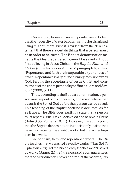Once again, however, several points make it clear that the necessity of water baptism cannot be dismissed using this argument. First, it is evident from the New Testament that there are certain things that a person must do in order to be saved. The Baptist denomination accepts the idea that a person cannot be saved without first believing in Jesus Christ. In the *Baptist Faith and Message*, the text under Article IV, paragraph A, states: "Repentance and faith are inseparable experiences of grace. Repentance is a genuine turning from sin toward God. Faith is the acceptance of Jesus Christ and commitment of the entire personality to Him as Lord and Saviour" (2000, p. 11)

Thus, according to the Baptist denomination, a person must repent of his or her sins, and must believe that Jesus isthe Son of God beforethat person can be saved. This teaching of the Baptist doctrine is accurate, as far as it goes. The Bible does explicitly state that a person must repent (Luke 13:3-5; Acts 2:38) and believe in Christ (John 3:36; Romans 10:11). However, it is at this point that the Baptist denomination inconsistently insists that belief and repentance are**not**works, but that water baptism **is** a work.

Are baptism, faith, and repentance works? The Bible teaches that we are **not** saved by works (Titus 3:4-7; Ephesians 2:9). YettheBible clearlyteacheswe**are**saved by works (James 2:14-24). Since inspiration guarantees that the Scriptures will never contradict themselves, it is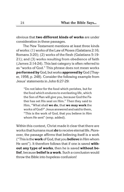obvious that **two different kinds of works** are under consideration in these passages.

The New Testament mentions at least three kinds of works: (1) works of the Law of Moses (Galatians 2:16; Romans 3:20); (2) works of the flesh (Galatians 5:19- 21); and (3) works resulting from obedience of faith (James 2:14-24). This last category is often referred to as "works of God." This phrase does not mean works **performed by** God, but works**approved by** God (Thayer, 1958, p. 248). Consider the following example from Jesus' statements in John 6:27-29:

"Do not labor for the food which perishes, but for the food which endures to everlasting life, which the Son of Man will give you, because God the Father has set His seal on Him." Then they said to Him, "What shall **we do**, that **we may work** the works of God?" Jesus answered and said to them, "This is the work of God, that you believe in Him whom He sent" (emp. added).

Within this context, Christ made it clear that there are works that humansmust**do**to receive eternal life. Moreover, the passage affirms that believing itself is a work ("This isthe **work** of God,that you**believe** in Him whom He sent"). It therefore follows that if one is saved **without any type of works**, then he is saved **without belief**, because **belief is a work**. Such a conclusion would throw the Bible into hopeless confusion!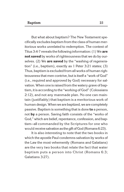But what about baptism? The New Testament specifically excludes baptism from the class of human meritorious works unrelated to redemption. The context of Titus 3:4-7 reveals the following information: (1) We **are not saved** by works of righteousness that we do by ourselves. (2) We **are saved** by the "washing of regeneration" (i.e., baptism), exactly as 1 Peter 3:21 states; (3) Thus, baptism is excluded from all works of human righteousness that men contrive, but is itself a "work of God" (i.e., required and approved by God) necessary for salvation. When one is raised from the watery grave of baptism, it is according to the "working of God" (Colossians 2:12), and not any manmade plan. No one can maintain (justifiably) that baptism is a meritorious work of human design. When we are baptized, we are completely passive. Baptism is something that is done **to** a person, not **by** a person. Saving faith consists of the "works of God," which are belief, repentance, confession, and baptism—all commanded by the Scriptures for one who would receive salvation asthe gift of God (Romans 6:23).

It is also interesting to note that the two books in which the apostle Paul condemns salvation by works of the Law the most vehemently (Romans and Galatians) are the very two books that relate the fact that water baptism puts a person into Christ (Romans 6:3; Galatians 3:27).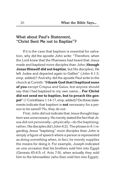#### **What about Paul's Statement, "Christ Sent Me not to Baptize"?**

If it is the case that baptism is essential for salvation, why did the apostle John write: "Therefore, when the Lord knew that the Pharisees had heard that Jesus made and baptized more disciples than John (**though Jesus Himself did not baptize**, but His disciples), He left Judea and departed again to Galilee" (John 4:1-3, emp. added)? And why did the apostle Paul write to the church at Corinth: "**I thank God that I baptized none of you** except Crispus and Gaius, lest anyone should say that I had baptized in my own name…. **For Christ did not send me to baptize, but to preach the gospel**" (1Corinthians 1:14-17, emp. added)? Dothese statements indicate that baptism is **not** necessary for a person to be saved? No, they do not.

First, John did not indicate that Jesus thought baptism was unnecessary. He merely stated the fact that Jesus did not personally—physically—do the baptizing; rather, His disciples did (John 4:2). The phrase in 4:1 regarding Jesus "baptizing" more disciples than John is simply a figure of speech where a person is represented as doing something when, in fact, he merely supplies the means for doing it. For example, Joseph indicated on one occasion that his brothers sold him into Egypt (Genesis 45:4-5; cf. Acts 7:9), when actually they sold him to the Ishmaelites (who then sold him into Egypt).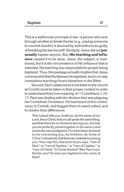This is a well-known principle in law—a person who acts through another to break the law (e.g., paying someone to commit murder) is deemed by authorities to be guilty of breaking the law himself. Similarly, Jesus did not**personally** baptize anyone. But, **His teaching and influence** caused it to be done. Jesus, the subject, is mentioned, but it is the circumstance of His influence that is intended. His teaching was responsible for people being baptized. Thus, this passage actually implies that Jesus commandedthat His listeners be baptized, and in no way contradicts teachings found elsewhere in the Bible.

Second, Paul's statements in his letter to the church at Corinth must be taken in their proper context in order to understand their true meaning. In 1 Corinthians 1:10- 17, Paul was dealing with the division that was plaguing the Corinthian Christians. He had heard of the controversy in Corinth, and begged them to stand united, and to resolve their differences.

Now I plead with you, brethren, by the name of our Lord Jesus Christ, that you all speak the same thing, and that there be no divisions among you, but that you be perfectly joined together in the same mind and inthe same judgment. For it has been declared to me concerning you, my brethren, by those of Chloe's household, that there are contentions among you. Now I say this, that each of you says, "I am of Paul," or "I am of Apollos," or "I am of Cephas," or "I am of Christ." Is Christ divided? Was Paul crucified for you? Or were you baptized in the name of Paul?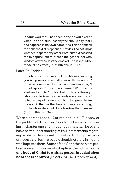I thank God that I baptized none of you except Crispus and Gaius, lest anyone should say that I had baptized in my own name. Yes, I also baptized the household of Stephanas. Besides, I do not know whether Ibaptized any other. For Christ did not send me to baptize, but to preach the gospel, not with wisdom of words, lest the cross of Christ should be made of no effect (1 Corinthians 1:10-17).

Later, Paul added:

For where there are envy, strife, and divisions among you, are you not carnal and behaving like mere men? For when one says, "I am of Paul," and another, "I am of Apollos," are you not carnal? Who then is Paul, and who is Apollos, but ministers through whom you believed, as the Lord gave to each one? I planted, Apollos watered, but God gave the increase. So then neither he who plants is anything, nor he who waters, but God who gives the increase (1 Corinthians 3:3-7).

When a person reads 1 Corinthians 1:14-17 in view of the problem of division in Corinth that Paul was addressing in chapter one and throughout this letter, he or she has a better understanding of Paul's statements regarding baptism. He was **not** indicating that baptism was unnecessary, but that people should not glory in the one who baptizes them. Some of the Corinthians were putting more emphasis on **who** baptized them, than on the **one body of Christ to which a person is added when he or she is baptized** (cf. Acts 2:41,47; Ephesians 4:4).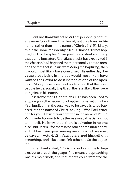Paul was thankful that he did not personally baptize any more Corinthians than he did, lest they boast in **his** name, rather than in the name of **Christ** (1:15). Likely, this is the same reason why "Jesus Himself did not baptize, but His disciples." Imagine the spiritual snobbery that some immature Christians might have exhibited if the Messiah had baptized them personally (not to mention the fact that if Jesus were doing the baptizing, then it would most likely have consumed His entire day, because those being immersed would most likely have wanted the Savior to do it instead of one of the apostles). Along these lines, Paul understood that the fewer people he personally baptized, the less likely they were to rejoice in his name.

It is ironic that 1 Corinthians 1:13 has been used to argue against the necessity of baptism for salvation, when Paul implied that the only way to be saved is to be baptized into the name of Christ, saying, "Was Paul crucified for you? Or were you baptized in the name of Paul?" Paul wanted convertstotiethemselvestothe Savior, not to himself. He knew that "there is salvation in no one else" but Jesus, "for there is no other name under heaven that has been given among men, by which we must be saved" (Acts 4:12). Paul concerned himself with preaching, and, like Jesus, left others to do the baptizing.

When Paul stated, "Christ did not send me to baptize, but to preach the gospel," he meant that preaching was his main work, and that others could immerse the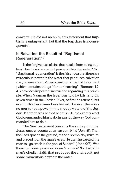converts. He did not mean by this statement that **baptism** is unimportant, but that the **baptizer** is inconsequential.

#### **Is Salvation the Result of "Baptismal Regeneration"?**

Is the forgiveness of sins that results from being baptized due to some special power within the water? No. "Baptismal regeneration" isthe false ideathatthere is a miraculous power in the water that produces salvation (i.e., regeneration). An examination of the Old Testament (which contains things "for our learning" [Romans 15: 4]) provides important instruction regarding this principle. When Naaman the leper was told by Elisha to dip seven times in the Jordan River, at first he refused, but eventually obeyed—and was healed. However, there was no meritorious power in the muddy waters of the Jordan. Naaman was healed because He did exactly what God commanded him to do, in exactly the way God commanded him to do it.

The New Testament presents the same principle. Jesus once encountered aman born blind (John 9). Then the Lord spat on the ground, made a spittle/clay mixture, and placed it on the man's eyes. He then instructed the man to "go, wash in the pool of Siloam" (John 9:7). Was there medicinal power in Siloam's waters? No. It was the man's obedient faith that produced the end result, not some miraculous power in the water.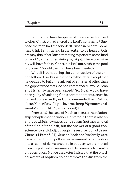What would have happened if the man had refused to obey Christ, or had altered the Lord's command? Suppose the man had reasoned: "If I wash in Siloam, some may think I am trusting in the **water** to be healed. Others may think that I am attempting to perform some kind of 'work' to 'merit' regaining my sight. Therefore I simply will 'have faith in' Christ, but I will**not**wash in the pool of Siloam." Would the man have been healed?

What if Noah, during the construction of the ark, had followed God's instructions to the letter, except that he decided to build the ark out of a material other than the gopher wood that God had commanded? Would Noah and his family have been saved? No. Noah would have been guilty of violating God's commandments, since he had not done **exactly** as God commanded him. Did not Jesus Himself say: "If you love me, **keep My commandments**" (John 14:15, emp. added)?

Peter used the case of Noah to discuss the relationship of baptism to salvation. He stated: "There is also an antitype which now saves us—baptism (not the removal of the filth of the flesh, but the answer of a good conscience toward God), through the resurrection of Jesus Christ" (1 Peter 3:21). Just as Noah and his family were transported from a polluted environment of corruption into a realm of deliverance, so in baptism we are moved from the polluted environment of defilement into a realm of redemption. Notice that Peter insisted that the physical waters of baptism do not remove the dirt from the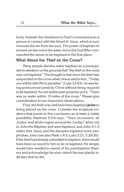body. Instead, the obedience to God's command puts a person in contact with the blood of Jesus, which in turn removes the sin from the soul. The power of baptism to remove sin lies not inthe water, but inthe GodWho commanded the sinner to be baptized in the first place.

#### **What About the Thief on the Cross?**

Many people dismiss water baptism as a prerequisite to salvation on the grounds that "the thief on the cross was not baptized." The thought is that since the thief was suspended onthe cross when Jesus saidto him, "Today you will be with Me in paradise" (Luke 23:43), he was being pronounced saved by Christ without being required to be baptized. As one well-known preacher put it, "There was no water within 10 miles of the cross." Please give consideration to two important observations.

First, the thief may well have been baptized **prior** to being placed on the cross. Consider the scriptural evidence that points to this conclusion as at least a viable possibility. Matthew 3:5-6 says, "Then Jerusalem, all Judea, and all the region around the Jordan" when out to John the Baptizer and were baptized, and John 4:1-2 states that Jesus and His disciples baptized more people than John (see also Mark 1:4-5; Luke 3:21; 7:29-30). If the thief had already submitted to baptism, there would have been no need for him to be re-baptized. He simply would have needed to repent of his post-baptism thievery and acknowledge his sins—which the text plainly indicates that he did.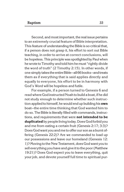Second, and most important, the real issue pertains to an extremely crucial feature of Bible interpretation. This feature of understanding the Bible is so critical that, if a person does not grasp it, his effort to sort out Bible teaching, in order to arrive at correct conclusions, will be hopeless. This principle was spotlighted by Paul when he wrote to Timothy and told him he must "rightly divide the word of truth" (2 Timothy 2:15). In other words, if one simplytakesthe entireBible—all 66 books—andtreats them as if everything that is said applies directly and equally to everyone, his effort to be in harmony with God's Word will be hopeless and futile.

For example, if a person turned to Genesis 6 and readwhere God instructed Noah to build a boat, if he did not study enough to determine whether such instruction appliedto himself, he would end up building his**own** boat—the entire time thinking that God wanted him to do so. The Bible is literally filled with commands, instructions, and requirements that were **not intended to be** duplicated by people living today. Does God forbid you and me from eating a certain fruit (Genesis 2:17; 3:3)? Does God want you andmeto offer our son as a burnt offering (Genesis 22:2)? Are we commanded to load up our possessions and leave our homeland (Genesis 12: 1)? Moving to the New Testament, does God want you to sell everything you have and give it to the poor (Matthew 19:21)? Does God expect you to leave everything, quit your job, and devote yourself full time to spiritual pur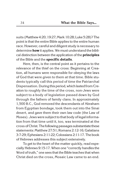suits (Matthew 4:20; 19:27; Mark 10:28; Luke 5:28)? The point is that the entire Bible applies to the entire human race. However, careful and diligent study is necessary to determine **how** it applies. We must understand the biblical distinction between the application of the **principles** of the Bible and the **specific details**.

Here, then, is the central point as it pertains to the relevance of the thief on the cross: Beginning at Creation, all humans were responsible for obeying the laws of God that were given to them at that time. Bible students typically call this period of time the Patriarchal Dispensation. During this period, which lasted from Creation to roughly the time of the cross, non-Jews were subject to a body of legislation passed down by God through the fathers of family clans. In approximately 1,500 B.C., God removed the descendants of Abraham from Egyptian bondage, took them out into the Sinai desert, and gave them their own law code (the Law of Moses). Jews were subject to that body of legal information from that time until it, too, was terminated at the cross of Christ. The following passages substantiate these statements: Matthew 27:51; Romans 2:12-16; Galatians 3:7-29; Ephesians 2:11-22; Colossians 2:11-17. The book of Hebrews addresses this subject extensively.

To get to the heart of the matter quickly, read especiallyHebrews 9:15-17. When one "correctly handles the Word of truth," one sees that the Bible teaches that when Christ died on the cross, Mosaic Law came to an end.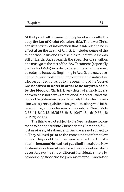At that point, all humans on the planet were called to obey **the law of Christ**(Galatians 6:2). The law of Christ consists strictly of information that is intended to be in effect **after** the death of Christ. It includes **some** of the things that Jesus and His disciples taught while He was still on Earth. But as regards the **specifics** of salvation, one must go to the rest of the New Testament (especially the book of Acts) in order to determine what one must do today to be saved. Beginning in Acts 2, the new covenant of Christ took effect, and every single individual who responded correctly to the preaching of the Gospel was **baptized in water in order to be forgiven of sin by the blood of Christ.** Every detail of an individual's conversion is not always mentioned, but a perusal ofthe book of Acts demonstrates decisively that water immersion was a**prerequisite** to forgiveness, along with faith, repentance, and confession of the deity of Christ (Acts 2:38,41; 8:12,13,16,36-38; 9:18; 10:47-48; 16:15,33; 18: 8; 19:5; 22:16).

The thief was not subject to the New Testament commandto be baptized into Christ's death (Romans 6:3-4), just as Moses, Abraham, and David were not subject to it. They all lived **prior** to the cross under different law codes. They could not have been baptized into Christ's death-**because He had not yet died**! In truth, the New Testament contains at leasttwo other incidents in which Jesus forgave the sins of different individuals simply by pronouncing those sinsforgiven. Matthew 9:1-8 and Mark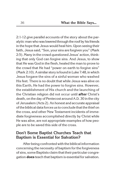2:1-12 give parallel accounts of the story about the paralytic man who was lowered through the roof by his friends in the hope that Jesus would heal him. Upon seeing their faith, Jesus said, "Son, your sins are forgiven you" (Mark 2:5). Many in the crowd questioned Jesus' action, thinking that only God can forgive sins. And Jesus, to show that He was God in the flesh, healed the man to prove to the crowd that He had "power on earth to forgive sins" (Mark 2:10). A similar story is found in Luke 7:48, in which Jesus forgave the sins of a sinful woman who washed His feet. There is no doubt that while Jesus was alive on this Earth, He had the power to forgive sins. However, the establishment of His church and the launching of the Christian religion did not occur until **after** Christ's death, on the day of Pentecost around A.D. 30 in the city of Jerusalem (Acts 2). An honest and accurate appraisal ofthe biblical data forces usto concludethatthethief on the cross, and other New Testament incidents of immediate forgiveness accomplished directly by Christ while He was alive, are not appropriate examples of how people are to be saved this side of the cross.

#### **Don't Some Baptist Churches Teach that Baptism is Essential for Salvation?**

After being confronted with the biblical information concerning the necessity of baptism for the forgiveness of sins, some Baptists claim that their particular congregation **does** teach that baptism is essential for salvation.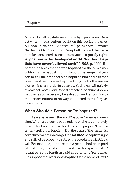A look at a telling statement made by a prominent Baptist writer throws serious doubt on this position. James Sullivan, in his book, *Baptist Polity: As I See It*, wrote: "In the 1830s, Alexander Campbell insisted that baptism be considered essential to salvation, **a purely right**ist position in the theological world. Southern Bap**tists have never believed such**" (1998, p. 133). If a person believes that he was baptized for the remission of his sins in a Baptist church, I would challengethat person to call the preacher who baptized him and ask that preacher if he has ever baptized anyone for the remission of his sins in order to be saved. Such a call will quickly reveal that most every Baptist preacher (or church) views baptism as unnecessary for salvation and (according to the denomination) in no way connected to the forgiveness of sins.

#### **When Should a Person be Re-baptized?**

As we have seen, the word "baptism" means immersion. When a person is baptized, he or she is completely covered or buried with water. This is the proper, New Testament **action** of baptism. But the truth of the matter is, sometimes aperson can getthe**method**of baptism right and still not be properly baptized in accordancewith God's will. For instance, suppose that a person had been paid \$100 if he agrees to be immersed in water by a minister? Is that person's baptism valid according to Scripture? Or supposethat a person is baptized inthe name of Paul?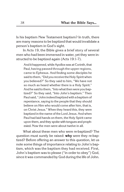Is his baptism New Testament baptism? In truth, there are many reasons to be baptized that would invalidate a person's baptism in God's sight.

In Acts 19, the Bible gives a brief story of several men who had been immersed in water, yet they were instructed to be baptized again (Acts 19:1-7).

And it happened, while Apollos was at Corinth, that Paul, having passed through the upper regions, came to Ephesus. And finding some disciples he said to them, "Did you receive the Holy Spirit when you believed?" So they said to him, "We have not so much as heard whether there is a Holy Spirit." And he said to them, "Into what then were you baptized?" So they said, "Into John's baptism." Then Paul said, "John indeed baptized with a baptism of repentance, saying to the people that they should believe on Him who would come after him, that is, on Christ Jesus." When they heard this, they were baptized in the name of the Lord Jesus. And when Paul had laid hands on them, the Holy Spirit came upon them, and they spoke with tongues and prophesied. Now the men were about twelve in all.

What about these men who were re-baptized? The question must surely be raised: **why** were they re-baptized? Before offering an answer to this question, let us note some things of importance relating to John's baptism, which was the baptism they had received. First, John's baptism was to please ("in order to obey") God, since it was commanded by God during the life of John.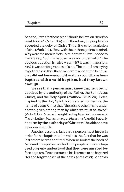Second, it was for those who "should believe on Him who would come" (Acts 19:4) and, therefore, for people who accepted the deity of Christ. Third, it was for remission of sins (Mark 1:4). Now, with these three points in mind, **why** were the men in Acts 19 re-baptized? It will not do to merely say, "John's baptism was no longer valid." The obvious question is, **why** wasn't it? It was immersion. And it was for forgiveness of sins. The point I am trying to get across is this: these men were re-baptized because they **did not know enough!**Andthey **could have been baptized with a valid baptism, had they known enough.**

We see that a person must **know** that he is being baptized by the authority of the Father, the Son (Jesus Christ), and the Holy Spirit (Matthew 28:19-20). Peter, inspired by the Holy Spirit, boldly stated concerning the name of Jesus Christ that "there is no other name under heaven given among men by which we must be saved" (Acts 4:12). A person might be baptized in the name of Martin Luther, Muhammad, or Mahatma Gandhi, but only baptism **by the authority of Christ**will be able to save a person eternally.

Another essential fact that a person must **know** in order for his baptism to be valid is the fact that he was lost before he was baptized.When we look atthe book of Acts and the epistles, we find that people who were baptized properly understood that they were unsaved before baptism. Peter instructed his listeners to be baptized "for the forgiveness" of their sins (Acts 2:38). Ananias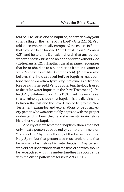told Saul to "arise and be baptized, and wash away your sins, calling on the name of the Lord" (Acts 22:16). Paul told those who eventually composedthe church in Rome that they had been baptized "into Christ Jesus" (Romans 6:3), and he told the Ephesian church that any person who was not in Christ had no hope and was without God (Ephesians 2:12). In baptism, the alien sinner recognizes that he or she dies to sin, and rises from the water to walk "in newness of life" (Romans 6:4). [A person who believes that he was saved **before** baptism must contend that he was already walking in "newness of life" before being immersed.] Various other terminology is used to describe water baptism in the New Testament (1 Peter 3:21; Galatians 3:27; Acts 8:38), yet in every case, this terminology shows that baptism is the dividing line between the lost and the saved. According to the New Testament examples and explanations of baptism, every person who was acceptably baptized with the proper understanding knew that he or she was still in sin before his or her water baptism.

A study of New Testament baptism shows that, not only must a person be baptized by complete immersion "to obey God" by the authority of the Father, Son, and Holy Spirit, but that person also must understand that he or she is lost before his water baptism. Any person who did not understand this at the time of baptism should be re-baptized with this understanding in accordance with the divine pattern set for us in Acts 19:1-7.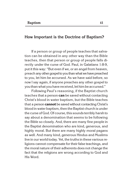#### **How Important is the Doctrine of Baptism?**

If a person or group of people teaches that salvation can be obtained in any other way than the Bible teaches, then that person or group of people falls directly under the curse of God. Paul, in Galatians 1:8-9, put it this way: "But even if we, or an angel from heaven, preach any other gospel to you than what we have preached to you, let him be accursed. As we have said before, so now I say again, if anyone preaches any other gospel to youthan what you have received, let him be accursed."

Following Paul's reasoning, if the Baptist church teaches that a person **can** be saved without contacting Christ's blood in water baptism, but the Bible teaches that a person **cannot** be saved without contacting Christ's blood in water baptism, then the Baptist church is under the curse of God. Of course, this sounds terribly harsh to say about a denomination that seems to be following the Bible so closely. And, there are many fine people in the Baptist denomination who are kind, generous, and highly moral. But there are many highly moral pagans as well. And many kind, generous Hindus and Muslims live in our world today. Yet, the truths in these various religions cannot compensate for their false teachings, and the moral nature of their adherents does not change the fact that the religions are wrong according to God and His Word.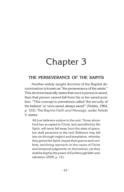# Chapter 3

### **THE PERSEVERANCE OF THE SAINTS**

Another widely taught doctrine of the Baptist denomination is known as "the perseverance of the saints." This doctrine basically states that once a person is saved, then that person cannot fall from his or her saved position. "This concept is sometimes called 'the security of the believer' or 'once saved, always saved'" (Hobbs, 1964, p. 103). The *Baptist Faith and Message,* under Article V, states:

All true believers endure to the end. Those whom God has accepted in Christ, and sanctified by His Spirit, will never fall away from the state of grace, but shall persevere to the end. Believers may fall into sin through neglect and temptation, whereby they grieve the Spirit, impair their graces and comforts, and bring reproach on the cause of Christ and temporal judgments on themselves; yet they shall be kept by the power of God through faith unto salvation (2000, p. 12).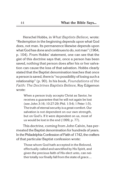Herschel Hobbs, in *What Baptists Believe*, wrote: "Redemption in the beginning depends upon what God does, not man. Its permanence likewise depends upon what God has done and continues to do, not man" (1964, p. 104). From Hobbs' statement, one can see that the gist of this doctrine says that, once a person has been saved, nothing that person does after his or her salvation can cause the loss of that salvation. Hobbs clearly stated that the Baptist denomination teaches that once a person is saved, there is "no possibility of losing such a relationship" (p. 90). In his book, *Foundations of the Faith: The Doctrines Baptists Believe,* Roy Edgemon wrote:

When a person truly accepts Christ as Savior, he receives a guarantee that he will not again be lost (see John 3:16; 10:27-29; Phil. 1:5-6; 1 Peter 1:5). The truth of eternal security is a great comfort. Our salvation is not dependent on our own strength, but on God's. If it were dependent on us, most of us would be lost in the end (1999, p. 77).

This doctrine, coming from John Calvin, has permeated the Baptist denomination for hundreds of years. In the Philadelphia Confession of Faith of 1742, the crafters of that particular Baptist confession wrote:

Those whom God hath accepted in the Beloved, effectually called and sanctified by His Spirit, and given the precious faith of His elect unto, can neither totally nor finally fall from the state of grace....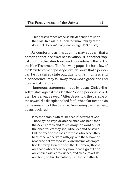This perseverance of the saints depends not upon their own free will, but upon the immutability of the decree of election (George and George, 1999, p. 75).

As comforting as this doctrine may appear—that a person cannot lose his or her salvation—it is another Baptist doctrine that stands in direct opposition to the text of the New Testament. The following pages list but a few of the New Testament passages which prove that a person can be in a saved state but, due to unfaithfulness and disobedience, may fall away from God's grace and end up in a lost condition.

Numerous statements made by Jesus Christ Himself militate against the idea that "once a person is saved, then he is always saved." After Jesus told the parable of the sower, His disciples asked for further clarification as to the meaning of the parable. Answering their request, Jesus declared:

Nowthe parable isthis: The seed istheword of God. Those by the wayside are the ones who hear; then the devil comes and takes away the word out of their hearts, lest they should believe and be saved. But the ones on the rock are those who, when they hear, receive the word with joy; and these have no root, who believe for a while and in time of temptation fall away. Now the ones that fell among thorns are those who, when they have heard, go out and are choked with cares, riches, and pleasures of life, and bring no fruit to maturity. But the ones that fell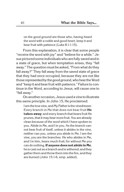on the good ground are those who, having heard the word with a noble and good heart, keep it and bear fruit with patience (Luke 8:11-15).

From this explanation, it is clear that some people "receive the word with joy" and "believe for a while." Jesus pictured some individuals who are fully saved and in a state of grace, but when temptation arises, they "fall away." The question must be asked, "From what do they fall away?" They fall away from the saved state of grace that they had once occupied, because they are not like those represented by the good ground, who hear the Word and "keep it and bear fruit with patience." Failure to continue in the Word, according to Jesus, will cause one to "fall away."

On another occasion, Jesus used a vineto illustrate this same principle. In John 15, He proclaimed:

I am the true vine, and My Father is the vinedresser. Every branch in Me that does not bear fruit **He takes away**; and every branch that bears fruit He prunes, that it may bear more fruit. You are already clean because of the word which I have spoken to you. Abide in Me, and I in you. As the branch cannot bear fruit of itself, unless it abides in the vine, neither can you, unless you abide in Me. I am the vine, you are the branches. He who abides in Me, and I in him, bears much fruit; for without Me you can do nothing.**If anyone does not abide in Me**, he is cast out as a branch and is withered; and they gather them and throw them into the fire, and they are burned (John 15:1-6, emp. added).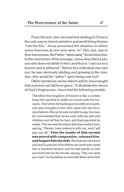From the text, one can read that abiding in Christ is the only way to inherit salvation and avoid being thrown "into the fire." Jesus presented the situation in which some branches at one time were "in" Him, but, due to their barrenness, the Father "takes away" those branches. In the conclusion of the passage, Jesus described a person who does not abide in Him, and thus is "cast out as a branch and is withered." Before this individual was cast out, he was obviously abiding and growing in the vine, else, why would he "wither" upon being cast out?

Other narratives can be cited in which Jesus taught that a person can fall from grace. To illustrate the nature of God's forgiveness, Jesus told the following parable.

Therefore the kingdom of heaven is like a certain king who wanted to settle accounts with his servants. Andwhen he had begun to settle accounts, one was brought to him who owed him ten thousand talents. But as he was not able to pay, his master commanded that he be sold, with his wife and children and all that he had, and that payment be made. The servant therefore fell down before him, saying, "Master, have patience with me, and I will pay you all." **Then the master of that servant was moved with compassion, released him,** and forgave him the debt. But that servant went out and found one of his fellow servants who owed him a hundred denarii; and he laid hands on him and took him by the throat, saying, "Pay me what you owe!" So his fellow servant fell down at his feet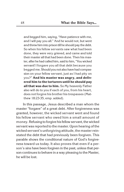and begged him, saying, "Have patience with me, and I will pay you all." And he would not, but went and threw him into prison till he should pay the debt. So when his fellow servants saw what had been done, they were very grieved, and came and told their master all that had been done. Then his master, after he had called him, saidto him, "You wicked servant! I forgave you all that debt because you begged me.Should you not also have had compassion on your fellow servant, just as I had pity on you?" **And his master was angry, and delivered him to the torturers until he should pay all that was due to him.** So My heavenly Father also will do to you if each of you, from his heart, does not forgive his brother his trespasses (Matthew 18:23-35, emp. added).

In this passage, Jesus described a man whom the master "forgave" of a great debt. After forgiveness was granted, however, the wicked servant went and found his fellow servant who owed him a small amount of money. Refusing to forgive his fellow servant, the wicked servant was reported to the master. Upon hearing of the wicked servant's unforgiving attitude, the master reinstated the debt that had previously been forgiven. This parable shows the conditional nature of God's forgiveness toward us today. It also proves that even if a person's sins have been forgiven in the past, unless that person continues to behave in a way pleasing to the Master, he will be lost.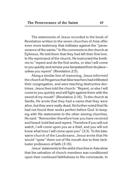The statements of Jesus recorded in the book of Revelation written to the seven churches of Asia offer even more testimony that militates against the "perseverance of the saints." In His comments to the church at Ephesus, He told them that they had left their first love. In His reprimand of the church, He instructed the brethren to "repent and do the first works, or else I will come to you quickly and remove your lampstand from its place unless you repent" (Revelation 2:5).

Along a similar line of reasoning, Jesus informed the church at Pergamos that false teachers had infiltrated their congregation, and were teaching destructive doctrines. Jesus then told the church: "Repent, or else I will come to you quickly and will fight against them with the sword of my mouth" (Revelation 2:16). To the church at Sardis, He wrote that they had a name that they were alive, but they were really dead. He further noted that He had not found their works perfect before God. In keeping with His statements to the other sinning churches, He said: "Remember therefore how you have received and heard: hold fast and repent. Therefore if you will not watch, I will come upon you as a thief, and you will not know what hour I will come upon you" (3:3). To the lukewarm church of the Laodiceans, Jesus wrote that He would "spew" them out of His mouth due to their lackluster profession of faith (3:16).

Jesus' statementstothe sinful churches in Asia show that the salvation of church members was conditioned upon their continued faithfulness to His commands. In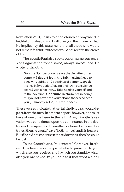Revelation 2:10, Jesus told the church at Smyrna: "Be faithful until death, and I will give you the crown of life." He implied, by this statement, that all those who would not remain faithful until death would not receivethe crown of life.

The apostle Paul also spoke out on numerous occasions against the "once saved, always saved" idea. He wrote to Timothy:

Now the Spirit expressly says that in latter times some will **depart from the faith**, giving heed to deceiving spirits and doctrines of demons, speaking lies in hypocrisy, having their own conscience seared with a hot iron…. Take heed to yourself and to the doctrine. **Continue in them**, for in doing this you will save both yourself andthose who hear you (1 Timothy 4:1,2,16, emp. added).

These verses indicate that certain individuals would **depart** from the faith. In order to depart, however, one must have at one time been **in** the faith. Also, Timothy's salvation was conditioned upon his continuance in the doctrines of the apostles. If Timothy continued in those doctrines, then he would "save" both himself and his hearers. But if he did not continue in those doctrines, then he would be lost.

To the Corinthians, Paul wrote: "Moreover, brethren, I declare to you the gospel which I preached to you, which also you received and inwhich you stand, bywhich also you are saved, **if** you hold fast that word which I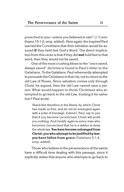preached to you—unless you believed in vain" (1 Corinthians 15:1-2, emp. added). Here again, the inspired Paul warned the Corinthians that their salvation would be assured **if** they held fast God's Word. The direct implication from this verse is that if they did **not** hold fast to that word, then they would not be saved.

One of the most crushing blows to the "once saved, always saved" doctrine is found in Paul's letter to the Galatians. To the Galatians, Paul vehemently attempted to persuade the Christians in that city not to return to the old Law of Moses. Since salvation comes only through Christ, he argued, then the old Law cannot save a person. What would happen to those Christians who attempted to go back to the old Law, trusting it for salvation? Paul wrote:

Stand fast therefore in the liberty by which Christ has made us free, and do not be entangled again with a yoke of bondage. Indeed I, Paul, say to you that if you become circumcised, Christ will profit you nothing. And I testify again to every man who becomes circumcised that he is a debtor to keep the whole law.**You have become estranged from Christ, youwhoattempt to bejustified by law; you have fallen from grace** (Galatians 5:1-4, emp. added).

Those who believe in the perseverance of the saints have a difficult time dealing with this passage, since it explicitly states that anyone who attempts to go back to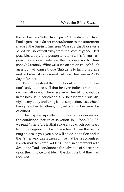the old Law has "fallen from grace." This statement from Paul's pen lies in direct contradiction to the statement made in the*Baptist Faith and Message*, that those once saved "will never fall away from the state of grace." Is it possible, today, for a person to return to his former religion or state of disobedience after his conversionto Christianity? Certainly. What will such an action cause? Such an action will cause those Christians to fall from grace and be lost—just as it caused Galatian Christians in Paul's day to be lost.

Paul understood the conditional nature of a Christian's salvation so well that he even indicated that his own salvation would be in jeopardy if he did not continue in the faith. In 1 Corinthians 9:27, he asserted: "But I discipline my body and bring it into subjection, lest, when I have preached to others, I myself should become disqualified."

The inspired apostle John also wrote concerning the conditional nature of salvation. In 1 John 2:24-25, we read: "Therefore let that abide in you which you heard from the beginning. **If** what you heard from the beginning abides in you, you also will abide in the Son and in the Father. And this is the promise that He has promised us—eternal life" (emp. added). John, in agreement with Jesus and Paul, conditioned the salvation of his readers upon their choice to abide in the doctrine that they had received.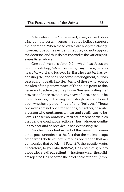Advocates of the "once saved, always saved" doctrine point to certain verses that they believe support their doctrine. When these verses are analyzed closely, however, it becomes evident that they do not support the doctrine, and thus do not contradict the various passages listed above.

One such verse is John 5:24, which has Jesus on record as stating, "Most assuredly, I say to you, he who hears My word and believes in Him who sent Me has everlasting life, and shall not come into judgment, but has passed from death into life." Many of those who accept the idea of the perseverance of the saints point to this verse and declare that the phrase "has everlasting life" proves the "once saved, always saved" idea. It should be noted, however, that having everlasting life is conditioned upon whether a person "hears" and "believes." Those two words are not one-time actions, but rather, describe a person who **continues** to hear and **continues** to believe. (These two words in Greek are present participles that denote continuous action.) Thus, whoever continues to hear and believe Jesus has everlasting life.

Another important aspect of this verse that sometimes goes unnoticed is the fact that the biblical usage of the word "believe" often implies obedience that accompanies that belief. In 1 Peter 2:7, the apostle wrote: "Therefore, to you who **believe**, He is precious; but to those who are **disobedient**, 'The stone which the builders rejected Has become the chief cornerstone'" (emp.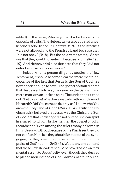added). In this verse, Peter regarded disobedience as the opposite of belief. The Hebrew writer also equated unbelief and disobedience. In Hebrews 3:18-19, the Israelites were not allowed into the Promised Land because they "did not obey" (3:18). But the next verse states, "So we see that they could not enter in because of unbelief" (3: 19). And Hebrews 4:6 also declares that they "did not enter because of disobedience."

Indeed, when a person diligently studies the New Testament, it should become clear that mere mental acceptance of the fact that Jesus is the Son of God has never been enough to save. The gospel of Mark records that Jesus went into a synagogue on the Sabbath and met amanwith an unclean spirit. The unclean spirit cried out, "Let us alone!What have weto do with You, Jesus of Nazareth? Did You come to destroy us? I know who You are—the Holy One of God" (Mark 1:24). Truly, the unclean spirit believed that Jesus was the Christ, the Son of God. Yet that knowledge did not put the unclean spirit in a saved condition. In like manner, the gospel of John records that "even among the rulers many believed in Him [Jesus—KB], but because of the Pharisees they did not confess Him, lest they should be put out of the synagogue; for they loved the praise of men more than the praise of God" (John 12:42-43). Would anyone contend that these Jewish leaders should be saved based on their mental assent to Jesus' deity, even though they desired to please men instead of God? James wrote: "You be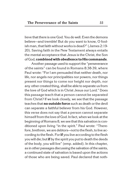lieve that there is one God. You do well. Even the demons believe—and tremble! But do you want to know, O foolish man, that faith without works is dead?" (James 2:19-20). Saving faith in the New Testament always entails the mental acceptance that Jesus is the Christ, the Son of God, **combined with obedience to His commands**.

Another passage used to support the "perseverance of the saints" can be found in Romans 8:38-39, where Paul wrote: "For I am persuaded that neither death, nor life, nor angels nor principalities nor powers, nor things present nor things to come nor height nor depth, nor any other created thing, shall be able to separate us from the love of God which is in Christ Jesus our Lord." Does this passage teach that a person cannot be separated from Christ? If we look closely, we see that the passage teaches that **no outside force** such as death or the devil can separate a faithful believer from his God. However, this verse does not say that a person cannot separate himself fromthe love of God. Infact, when we look atthe beginning of Romans 8, we seethatthis salvation is conditioned upon living "in the spirit." Paul wrote: "Therefore, brethren, we are debtors-not to the flesh, to live according to the flesh. For**if** you live according to the flesh you will die; but **if** by the spirit you put to death the deeds of the body, you will live" (emp. added). In this chapter, as in other passages discussing the salvation of the saints, a continued state of salvation is based upon the actions of those who are being saved. Paul declared that noth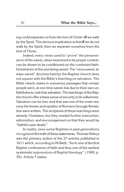ing could separate us from the love of Christ-if we walk by the Spirit. The obvious implication is that**if**we do not walk by the Spirit, then we separate ourselves from the love of Christ.

Indeed, every verse used to "prove" the perseverance of the saints, when examined in its proper context, can be shown to be conditioned on the continued faithful behavior of the one being saved. The "once saved, always saved" doctrine held by the Baptist church does not square with the Bible's teaching on salvation. The Bible clearly states in numerous passages that certain people were, at one time saved, but due to their own unfaithfulness, lost that salvation. The teachings of the Baptist church offer a false sense of security to its adherents. Salvation can be lost, and that was one of the main reasons the books and epistles of Romans through Revelation were written. The recipients of these teachings were already Christians, but they needed further instruction, admonition, and encouragement so that they would be "faithful unto death."

In reality, even some Baptists in past generations recognized the truth of these statements. Thomas Helwys was the primary author of the 27 articles published in 1611 which, according to McBeth, "form one of the first Baptist confessions of faith and thus one of the earliest systematic expressions of Baptist theology" (1990, p. 39). Article 7 states: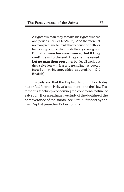A righteous man may forsake his righteousness and perish (Ezekiel 18:24-26). And therefore let no man presume to think that because he hath, or had once grace, therefore he shall always have grace. **But let all men have assurance, that if they continue unto the end, they shall be saved. Let no man then presume**; but let all work out their salvation with fear and trembling (as quoted in McBeth, p. 40, emp. added, adapted from Old English).

It is truly sad that the Baptist denomination today has drifted far from Helwys' statement—and the New Testament's teaching—concerning the conditional nature of salvation. [For an exhaustive study of the doctrine of the perseverance of the saints, see *Life in the Son* by former Baptist preacher Robert Shank.]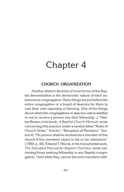# Chapter 4

### **CHURCH ORGANIZATION**

Another distinct doctrine of most forms of the Baptist denomination is the democratic nature of each autonomous congregation. Many things are put before the entire congregation or a board of deacons for them to cast their vote opposing or favoring. One of the things about which the congregations or deacons vote is whether or not to receive a person into their fellowship. J. Newton Brown, in his book, *A Baptist Church Manual*, wrote concerning this practice under a section titled "Rules of Church Order," Article I, "Reception of Members," Section 6: "No person shall be received as a member of this church if five members object to his or her admission" (1994, p. 34). Edward T. Hiscox, in his monumental work, *The Standard Manual for Baptist Churches*, wrote concerning those seeking fellowship in any Baptist congregation: "And while they cannot become members with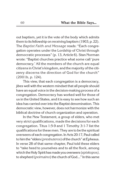out baptism, yet it is the vote of the body which admits them to its fellowship on receiving baptism (1903, p. 22). The *Baptist Faith and Message* reads: "Each congregation operates under the Lordship of Christ through democratic processes" (p. 13, Article 6). Stan Norman wrote: "Baptist churches practice what some call 'pure democracy.' All the members of the church are equal citizens in Christ's kingdom, and the majority of the citizenry discerns the direction of God for the church" (2001b, p. 124).

This view, that each congregation is a democracy, jibes well with the western mindset that all people should have an equal voice in the decision-making process of a congregation. Democracy has worked well for those of us in the United States, and it is easy to see how such an idea has carried over into the Baptist denomination. This democratic view, however, does not harmonize with the biblical doctrine of church organization and operation.

In the New Testament, a group of elders, who met very strict qualifications, made the decisions for each congregation. Titus 1:5-9 and 1 Timothy 3:1-7 list the qualifications for these men. They are to be the spiritual overseers of each congregation. InActs 20:17, Paul called to him the "elders (*presbuteros*) of the church" at Ephesus. In verse 28 of that same chapter, Paul told these elders to "take heed to yourselves and to all the flock, among whichtheHolySpirit hasmade you overseers (*episkopos)*, to shepherd (*poimaino*) the church of God...." In this same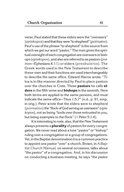verse, Paul stated that these elders were the "overseers" (*episkopos*) andthattheywere "to shepherd" (*poimaino*). Paul's use of the phrase "to shepherd" is the source from which we get our word "pastor." The men given the spiritual oversight of each congregation are overseers or bishops (*episkopos*), and also are referredto as pastors (*poimen*—Ephesians 4:11) or elders (*presbuteros*). The Greek words used in the New Testament to describe these men and their functions are used interchangeably to describe the same office. Edward Hiscox wrote, "Titus is in like manner directed by Paul to place pastors over the churches in Crete. These **pastors** he calls **elders** in the fifth verse and **bishops** in the seventh. Here both terms are applied to the same persons, and must indicate the same office—Titus 1:5,7" (n.d., p. 91, emp. in orig.). Peter wrote that the elders were to shepherd (*poimaino*) the "flock of God serving as overseers" (*episkopos*), not as being "lords over those entrusted to you, but being examples to the flock" (1 Peter 5:1-4).

It is interesting to note, also, that the New Testament always presents a **plurality** of pastors for every congregation. We never read about a lone "pastor" or "bishop" ruling over a congregation or a group of congregations. Yet, in the Baptist denomination it is a common practice to appoint one pastor "over" a church. Brown, in *A Baptist Church Manual,* on several occasions, talks about "the pastor" of a congregation. And, in his discussion on conducting a business meeting, he says "the pastor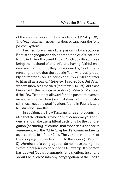of the church" should act as moderator (1994, p. 38). The New Testament never mentions or sanctions the "one pastor" system.

Furthermore, many of the "pastors" who are put over Baptist congregations do not meet the qualifications found in 1 Timothy 3 and Titus 1. Such qualifications as being the husband of one wife and having faithful children are not optional; they are required by God. It is interesting to note that the apostle Paul, who was probably not married (see 1 Corinthians 7:6-7), "did not refer to himself as a pastor" (Mosley, 1996, p. 67). But Peter, who we know was married (Matthew 8:14-15), did class himself with the bishops or pastors (1 Peter 5:1-4). Even if the New Testament allowed for one pastor to oversee an entire congregation (which it does not), that pastor still must meet the qualifications found in Paul's letters to Titus and Timothy.

In addition, the New Testament **never** presents the idea that the church is to be a "pure democracy." The elders are to make the spiritual decisions for the congregation (assuming, of course, that those decisions are in agreement with the "Chief Shepherd's" commandments as presented in 1 Peter 5:4). The various members of the congregation are to submit to the elders (1 Peter 5: 5). Members of a congregation do not have the right to "vote" a person into or out of its fellowship. If a person has obeyed God's commands for salvation, he or she should be allowed into any congregation of the Lord's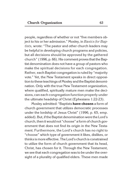people, regardless of whether or not "five members object to his or her admission." Mosley, in *Basics for Baptists,* wrote: "The pastor and other church leaders may be helpful in developing church programs and policies, but all decisions should be approved by the gathered church" (1996, p. 66). His comment proves that the Baptist denomination does not have a group of pastors who make the spiritual decisions for each congregation. Rather, each Baptist congregation is ruled by "majority vote." Yet, the New Testament speaks in direct opposition to these teachings of Mosley and the Baptist denomination. Only with the true New Testament organization, where qualified, spiritually mature men make the decisions, can each congregation function properly under the ultimate headship of Christ (Ephesians 1:22-23).

Mosley admitted: "Baptists **have chosen** a form of church government that utilizes democratic processes under the lordship of Jesus Christ" (1996, p. 65, emp. added). But, if the Baptist denomination were the Lord's church, then it would not "choose" a form of church government that does not find its origin in the New Testament. Furthermore, the Lord's church has no right to "choose" which type of government it likes, dislikes, or thinks ismore effective. The Lord's church is constrained to utilize the form of church government that its head, Christ, has chosen for it. Through the New Testament, we see that each congregation was to be under the oversight of a plurality of qualified elders. These men made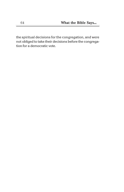the spiritual decisions for the congregation, and were not obliged to take their decisions before the congregation for a democratic vote.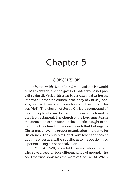# Chapter 5

## **CONCLUSION**

In Matthew 16:18, the Lord Jesus said that He would build His church, and the gates of Hades would not prevail against it. Paul, in his letter to the church at Ephesus, informed us that the church is the body of Christ (1:22- 23), and that there is only one church that belongs to Jesus (4:4). The church of Jesus Christ is composed of those people who are following the teachings found in the New Testament. The church of the Lord must teach the same plan of salvation as the apostles taught in order to be the church. The one church that belongs to Christ must have the proper organization in order to be His church. The church of Christ must teach the correct doctrine of Jesus andthe apostles astothe possibility of a person losing his or her salvation.

In Mark 4:13-20, Jesus told a parable about a sower who sowed seed on four different kinds of ground. The seed that was sown was the Word of God (4:14). When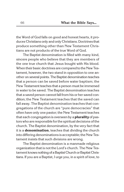the Word of God falls on good and honest hearts, it produces Christians only and only Christians. Doctrines that produce something other than New Testament Christians are not products of the true Word of God.

The Baptist denomination is filled with many kind, sincere people who believe that they are members of the one true church that Jesus bought with His blood. When their basic doctrines are compared to the New Testament, however, the two stand in opposition to one another on several points. The Baptist denomination teaches that a person can be saved before water baptism; the New Testament teaches that a person must be immersed in water to be saved. The Baptist denomination teaches that a saved person cannot fall from his or her saved condition; the New Testament teaches that the saved can fall away. The Baptist denomination teaches that congregations of the church are "pure democracies" that often have only one pastor; the New Testament teaches that each congregation is overseen by a**plurality**of pastors who are responsible for the spiritual decisions of the church. The Baptist denomination, by the very fact that it is a **denomination**, teaches that dividing the church into differing denominations is acceptable; the New Testament insists that such divisions are wrong.

The Baptist denomination is a manmade religious organization that is not the Lord's church. The New Testament knows nothing of a Baptist Church or Baptist Christians. If you are a Baptist, I urge you, in a spirit of love, to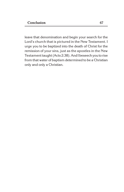leave that denomination and begin your search for the Lord's church that is pictured in the New Testament. I urge you to be baptized into the death of Christ for the remission of your sins, just as the apostles in the New Testament taught (Acts 2:38). And I beseech youto rise from that water of baptism determined to be a Christian only and only a Christian.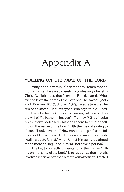# Appendix A

### **"CALLING ON THE NAME OF THE LORD"**

Many people within "Christendom" teach that an individual can be saved merely by professing a belief in Christ. While it is true that Peter and Paul declared, "Whoever calls on the name of the Lord shall be saved" (Acts 2:21; Romans 10:13; cf. Joel 2:32), it also is true that Jesus once stated: "Not everyone who says to Me, 'Lord, Lord,' shall enter the kingdom of heaven, but he who does the will of My Father in heaven" (Matthew 7:21; cf. Luke 6:46). Many professed Christians seem to equate "calling on the name of the Lord" with the idea of saying to Jesus, "Lord, save me." How can certain professed followers of Christ claim that they were saved by simply "calling out to Christ," when Christ Himself proclaimed that a mere calling upon Him will not save a person?

The key to correctly understanding the phrase "calling onthe name ofthe Lord," isto recognize that more is involved in this action than a mere verbal petition directed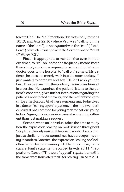toward God. The "call" mentioned in Acts 2:21, Romans 10:13, and Acts 22:16 (where Paul was "calling on the name of the Lord"), is not equated with the "call" ("Lord, Lord") of which Jesus spoke in the Sermon on the Mount (Matthew 7:21).

First, it is appropriate to mention that even in modern times, to "call on" someone frequently means more than simply making a request for something. When a doctor goes to the hospital to "call on" some of his patients, he does not merely walk into the room and say, "I just wanted to come by and say, 'Hello.' I wish you the best. Now pay me." On the contrary, he involves himself in a service. He examines the patient, listens to the patient's concerns, gives further instructions regarding the patient's anticipated recovery, and then oftentimes prescribes medication. All of these elements may be involved in a doctor "calling upon" a patient. In the mid-twentieth century, it was common for young men to "call on" young ladies. Again, this expression meant something different than just making a request.

Second, when an individual takes the time to study how the expression "calling on God" is used throughout Scripture, the only reasonable conclusion to draw is that, just as similar phrases sometimes have a deeper meaning in modern America, the expression "calling on God" often had a deeper meaning in Bible times. Take, for instance, Paul's statement recorded in Acts 25:11: "I appeal unto Caesar." The word "appeal" (*epikaloumai*) is the same word translated "call" (or "calling") in Acts 2:21,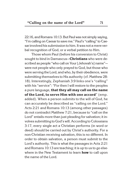22:16, and Romans 10:13. But Paul was not simply saying, "I'm calling on Caesar to save me." Paul's "calling" to Caesar involved his submissionto him. It was not amere verbal recognition of God, or a verbal petition to Him.

Those whom Paul (before his conversion to Christ) sought to bind in Damascus—**Christians** who were described as people "who call on Your [Jehovah's] name" were not people who only prayed to God, but those who were serving the Lord, and who, by their obedience, were submitting themselves to His authority (cf. Matthew 28: 18). Interestingly, Zephaniah 3:9 links one's "calling" with his "service": "For then I will restore to the peoples a pure language, **that they all may call on the name of the Lord, to serve Him with one accord**" (emp. added). When a person submits to the will of God, he can accurately be described as "calling on the Lord." Acts 2:21 and Romans 10:13 (among other passages) do not contradict Matthew 7:21, because to "call on the Lord" entails more than just pleading for salvation; it involves submittingto God's will. Accordingto Colossians 3:17, every single act a Christian performs (in word or deed) should be carried out by Christ's authority. For a non-Christian receiving salvation, this is no different. In order to obtain salvation, a person must submit to the Lord's authority. This is what the passages in Acts 2:21 and Romans 10:13 are teaching; it is up to us to go elsewhere in the New Testament to learn **how** to call upon the name of the Lord.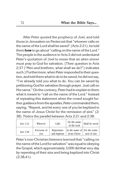After Peter quoted the prophecy of Joel, and told those in Jerusalem on Pentecost that "whoever calls on the name of the Lord shall be saved" (Acts 2:21), he told them **how** to go about "calling on the name of the Lord." The people in the audience in Acts 2 did not understand Peter's quotation of Joel to mean that an alien sinner must pray to God for salvation. [Their question in Acts 2:37 ("Men and brethren, what shall we do?") indicates such.] Furthermore, when Peter responded to their question, and told them what to do to be saved, he did not say, "I've already told you what to do. You can be saved by petitioning God for salvation through prayer. Just call on His name." On the contrary, Peter had to explain to them what it meant to "call on the name of the Lord." Instead of repeating this statement when the crowd sought further guidance from the apostles, Peter commanded them, saying, "Repent, and let every one of you be baptized in the name of Jesus Christ for the remission of sins" (2: 38). Notice the parallel between Acts 2:21 and 2:38:

| Acts $2:21$ | Whoever            | Calls                     | On the name<br>of the Lord                           | Shall be saved |
|-------------|--------------------|---------------------------|------------------------------------------------------|----------------|
| Acts $2:38$ | Everyone of<br>vou | Repentance<br>and baptism | In the name of For the remis-<br><b>Iesus Christ</b> | sion of sins   |

Peter's non-Christian listeners learned that "calling on the name of the Lord for salvation" was equal to obeying the Gospel, which approximately 3,000 did that very day by repenting of their sins and being baptized into Christ (2:38,41).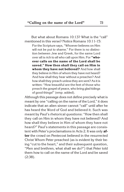But what about Romans 10:13? What is the "call" mentioned in this verse? Notice Romans 10:11-15:

For the Scripture says, "Whoever believes on Him will not be put to shame." For there is no distinction between Jew and Greek, for the same Lord over all is rich to all who call upon Him. For **"whoever calls on the name of the Lord shall be saved." How then shall they call on Him in whom they have not believed?** And how shall they believe in Him of whom they have not heard? And how shall they hear without a preacher? And how shall they preach unless they are sent? As it is written: "How beautiful are the feet of those who preach the gospel of peace, who bring glad tidings of good things!" (emp. added).

Although this passage does not define precisely what is meant by one "calling on the name of the Lord," it does indicate that an alien sinner cannot "call" until after he has heard the Word of God and believed it. Such was meant by Paul's rhetorical questions: "How then shall they call on Him in whom they have not believed? And how shall they believe in Him of whom they have not heard?" Paul's statements in this passage are consistent with Peter's proclamations in Acts 2. It was only **after** the crowd on Pentecost believed in the resurrected Christ Whom Peter preached (as is evident by their being "cut to the heart," and their subsequent question, "Men and brethren, what shall we do?") that Peter told them how to call on the name of the Lord and be saved (2:38).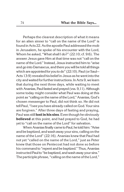Perhaps the clearest description of what it means for an alien sinner to "call on the name of the Lord" is found in Acts 22. Asthe apostle Paul addressedthemob in Jerusalem, he spoke of his encounter with the Lord, Whom he asked, "What shall I do?" (22:10; cf. 9:6). The answer Jesus gave Him at that time was not "call on the name of the Lord." Instead, Jesus instructed him to "arise and go into Damascus, and there you will be told all things which are appointed for you to do" (22:10). Paul (or Saul-Acts 13:9) revealed his belief in Jesus as he went into the city and waitedforfurther instructions. In Acts 9, we learn that during the next three days, while waiting to meet with Ananias, Paul fasted and prayed (vss. 9,11). Although some today might consider what Paul was doing at this point as "calling onthe name ofthe Lord," Ananias, God's chosen messenger to Paul, did not think so. He did not tell Paul, "I see you have already called on God. Your sins are forgiven." After three days of fasting and praying, Paul was still**lost in his sins**. Eventhough he obviously **believed** at this point, and had prayed to God, he had yet to "call on the name of the Lord" for salvation.

When Ananias finally came to Paul, he told him: "Arise and be baptized, and wash away your sins, calling onthe name of the Lord" (22:16). Ananias knew that Paul had not yet "called on the name of the Lord," just as Peter knew that those on Pentecost had not done so before his command to "repent and be baptized." Thus, Ananias instructed Paul to "be baptized, and wash away your sins." The participle phrase, "calling on the name of the Lord,"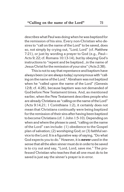describes what Paul was doing when he was baptized for the remission of his sins. Every non-Christian who desires to "call on the name of the Lord" to be saved, does so, not simply by crying out, "Lord, Lord" (cf. Matthew 7:21), or just by wording a prayer to God (e.g., Paul— Acts 9; 22; cf. Romans 10:13-14), but by obeying God's instructions to "repent and be baptized...in the name of Jesus Christforthe remission of your sins" (Acts 2:38).

This is not to say that repentance and baptism have always been (or are alwaystoday) synonymous with "calling onthe name ofthe Lord." Abraham was not baptized when he "called upon the name of the Lord" (Genesis 12:8; cf. 4:26), because baptism was not demanded of God before New Testament times. And, as mentioned earlier, when the New Testament describes people who are already Christians as "calling on the name of the Lord" (Acts 9:14,21; 1 Corinthians 1:2), it certainly does not mean that Christians continually were being baptized for the remission of their sins after having been baptized to become Christians (cf. 1 John 1:5-10). Depending on when andwhere the phrase is used, "calling on the name of the Lord" can include: (1) obedience to the Gospel plan of salvation; (2) worshiping God; or (3) faithful service to the Lord. It is a figurative way of saying, "Do what God expects you to do." However, it is **never** used in the sense that all the alien sinner must do in order to be saved is to cry out and say, "Lord, Lord, save me." The professed Christian who teaches that all one must do to be saved is just say the sinner's prayer is in error.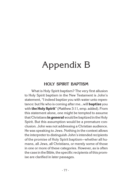# Appendix B

### **HOLY SPIRIT BAPTISM**

What is Holy Spirit baptism? The very first allusion to Holy Spirit baptism in the New Testament is John's statement, "I indeed baptize you with water unto repentance: but He who is coming after me...will **baptize** you with **the Holy Spirit**" (Matthew 3:11, emp. added). From this statement alone, one might be tempted to assume that Christians **in general**would be baptized inthe Holy Spirit. But this assumption would be a premature conclusion. John was not addressing a Christian audience. He was speaking to Jews. Nothing in the context allows the interpreter to distinguish John's intended recipients of the promise of Holy Spirit baptism—whether all humans, all Jews, all Christians, or merely some of those in one or more of these categories. However, as is often the case in the Bible, the specific recipients of this promise are clarified in later passages.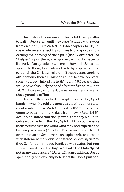Just before His ascension, Jesus told the apostles to wait in Jerusalem until they were "endued with power from on high" (Luke 24:49). In John chapters 14-16, Jesus made several specific promises to the apostles concerning the coming of the Spirit (the "Comforter" or "Helper") upon them, to empower them to do the peculiar work of an apostle (i.e., to recall the words Jesus had spoken to them, to speak and write by inspiration, and to launch the Christian religion). If these verses apply to all Christians, then all Christians ought to have been personally guided "into all the truth" (John 16:13), and thus would have absolutely no need of written Scripture (John 14:26). However, in context, these verses clearly refer to **the apostolic office**.

Jesus further clarified the application of Holy Spirit baptism when He told the apostles that the earlier statement made in Luke 24:49 applied to **them**, and would come to pass "not many days from now" (Acts 1:4-5). Jesus also stated that the "power" that they would receive would be from the Holy Spirit, which would enable them to witness to the world what they had experienced by being with Jesus (Acts 1:8). Notice very carefully that on this occasion Jesus made an explicit reference to the very statement that John had uttered previously in Matthew 3: "for John indeed baptized with water; but **you** [apostles—KB] shall be **baptized with the Holy Spirit** not many days hence" (Acts 1:5, emp. added). Jesus specifically and explicitly noted that the Holy Spirit bap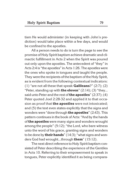tism He would administer (in keeping with John's prediction) would take place within a few days, and would be confined to the apostles.

All a person needs to do is turn the page to see the promise of Holy Spirit baptism achieve dramatic and climactic fulfillment in Acts 2 when the Spirit was poured out only upon the apostles. The antecedent of "they" in Acts 2:4 is "the apostles" in Acts 1:26. The apostles were the ones who spoke in tongues and taught the people. They were the recipients of the baptism of the Holy Spirit, as is evident from the following contextual indicators: (1) "are not all these that speak **Galileans**?" (2:7); (2) "Peter, standing up with **the eleven**" (2:14); (3) "they... said unto Peter and the rest of**the apostles**" (2:37); (4) Peter quoted Joel 2:28-32 and applied it to that occasion as proof that **the apostles** were not intoxicated; and (5) the text even states explicitly that the signs and wonders were "done through **the apostles**" (2:43). This pattern continues in the book of Acts: "And by the hands of**the apostles**were many signs and wonders wrought among the people" (5:12); "the Lord, who bare witness unto the word of his grace, granting signs and wonders to be done by **their hands**" (14:3); "what signs and wonders God had wrought...through **them**" (15:12).

The next direct reference to Holy Spirit baptism consisted of Peter describing the experience of the Gentiles in Acts 10. Referring to their empowerment to speak in tongues, Peter explicitly identified it as being compara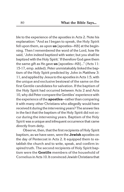ble to the experience of the apostles in Acts 2. Note his explanation: "And as I began to speak, the Holy Spirit fell upon them, as upon **us** [apostles—KB] at the beginning. Then I remembered the word of the Lord, how He said, 'John indeed baptized with water; but you shall be baptized with the Holy Spirit.' If therefore God gave them the same gift as He gave **us** [apostles—KB]…" (Acts 11: 15-17, emp. added). Peter unmistakably linked the baptism of the Holy Spirit predicted by John in Matthew 3: 11, and applied by Jesustothe apostles in Acts 1:5, with the unique and exclusive bestowal of the same on the first Gentile candidates for salvation. If the baptism of the Holy Spirit had occurred between Acts 2 and Acts 10, why did Peter compare the Gentiles' experience with the experience of the **apostles**—rather than comparing it with many other Christians who allegedly would have received it during the intervening years? The answer lies in the fact that the baptism of the Holy Spirit did not occur during the intervening years. Baptism of the Holy Spirit was a unique and infrequent occurrence that came directly from deity.

Observe, then, that the first recipients of Holy Spirit baptism, as we have seen, were the **Jewish** apostles on the day of Pentecost in Acts 2. It equipped them to establish the church and to write, speak, and confirm inspired truth. The second recipients of Holy Spirit baptism were the **Gentile** members of the household of Cornelius in Acts 10. It convinced Jewish Christiansthat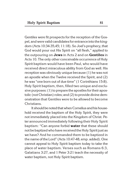Gentiles were fit prospects for the reception of the Gospel, and were valid candidates for entrance into the kingdom (Acts 10:34-35,45; 11:18). So Joel's prophecy, that God would pour out His Spirit on "all flesh," applied to the outpouring on **Jews** in Acts 2 and on **Gentiles** in Acts 10. The only other conceivable occurrence of Holy Spirit baptism would have been Paul, who would have received direct miraculous ability from God as well. His reception was obviously unique because (1) he was not an apostle when the Twelve received the Spirit, and (2) he was "one born out of due time" (1 Corinthians 15:8). Holy Spirit baptism, then, filled two unique and exclusive purposes:  $(1)$  to prepare the apostles for their apostolic (not Christian) roles; and (2) to provide divine demonstration that Gentiles were to be allowed to become Christians.

It should be notedthatwhen Cornelius and his household received the baptism of the Holy Spirit, they were not immediately placed into the Kingdom of Christ. Peter announced immediately following their Holy Spirit baptism: "Can anyone forbid **water** that these should not be baptized who have received the Holy Spirit just as we have? And he commanded them to be baptized in the name of the Lord" (Acts 10:47-48, emp. added). One cannot appeal to Holy Spirit baptism today to take the place of water baptism. Verses such as Romans 6:3, Galatians 3:27, and 1 Peter 3:21 teach the necessity of water baptism, not Holy Spirit baptism.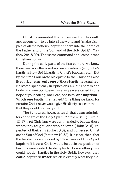Christ commanded His followers—after His death and ascension—to go into all the world and "make disciples of all the nations, baptizing them into the name of the Father and of the Son and of the Holy Spirit" (Matthew 28:18-20). That same command applies no less to Christians today.

During the early parts of the first century, we know there was more than one baptism in existence (e.g., John's baptism, Holy Spirit baptism, Christ's baptism, etc.). But by the time Paul wrote his epistle to the Christians who lived in Ephesus, **only one** of those baptisms remained. He stated specifically in Ephesians 4:4-5: "There is one body, and one Spirit, even as also ye were called in one hope of your calling; one Lord, onefaith,**one baptism**." Which **one** baptism remained? One thing we know for certain: Christ never would give His disciples a command that they could not carry out.

The Scriptures, however, teach that Jesus administers baptism of the Holy Spirit (Matthew 3:11; Luke 3: 15-17). Yet Christians were commanded to baptize those whom they taught, and who believed (John 3:16), repented of their sins (Luke 13:3), and confessed Christ as the Son of God (Matthew 10:32). It is clear, then, that the baptism commanded by Christ was not Holy Spirit baptism. If it were, Christ would be put in the position of having commanded His disciples to do something they could not do—baptize in the Holy Spirit. However, they **could** baptize in **water**, which is exactly what they did.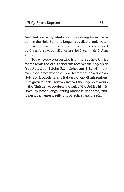And that is exactly what we still are doing today. Baptism in the Holy Spirit no longer is available; only water baptism remains, and isthe onetrue baptismcommanded by Christ for salvation (Ephesians 4:4-5; Mark 16:16; Acts 2:38).

Today, every person who is immersed into Christ for the remission of his or her sins receives the Holy Spirit (see Acts 2:38; 1 John 3:24; Ephesians 1:13-14). However, that is not what the New Testament describes as Holy Spirit baptism, and it does not entail miraculous gifts given to each Christian. Instead, the Holy Spirit works in the Christian to produce the fruit of the Spirit which is "love, joy, peace, longsuffering, kindness, goodness,faithfulness, gentleness, self-control" (Galatians 5:22-23).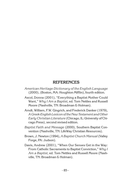### **REFERENCES**

- *American Heritage Dictionary of the English Language* (2000), (Boston, MA: Houghton Mifflin), fourth edition.
- Ascol, Donna (2001), "Everything a Baptist Mother Could Want," *Why I Am a Baptist*, ed. Tom Nettles and Russell Moore (Nashville, TN: Broadman & Holman).
- Arndt, William, F.W. Gingrich, and Frederick Danker (1979), *A Greek-English Lexicon of theNew Testament andOther Early Christian Literature* (Chicago, IL: University of Chicago Press), second revised edition.
- *Baptist Faith and Message* (2000), Southern Baptist Convention (Nashville, TN: LifeWay Christian Resources).
- Brown, J. Newton (1994), *A Baptist Church Manual*(Valley Forge, PA: Judson).
- Davis, Andrew (2001), "When Our Senses Get in the Way: From Catholic Sacraments to Baptist Conviction," *Why I Am a Baptist*, ed. Tom Nettles and Russell Moore (Nashville, TN: Broadman & Holman).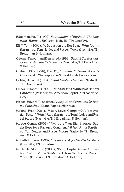- Edgemon, Roy T. (1999), *Foundations of the Faith: The Doctrines Baptists Believe* (Nashville, TN: LifeWay).
- Elliff, Tom (2001), "A Baptist on the Hot Seat," *Why I Am a Baptist*, ed. Tom Nettles and Russell Moore (Nashville, TN: Broadman & Holman).
- George,Timothy and Denise, ed. (1999),*BaptistConfessions, Covenants, and Catechisms* (Nashville, TN: Broadman & Holman).
- Graham, Billy (1996), *The Billy Graham Christian Worker's Handbook* (Minneapolis, MN: World Wide Publications).
- Hobbs, Herschel (1964), *What Baptists Believe* (Nashville, TN: Broadman).
- Hiscox, Edward T. (1903), *The StandardManualfor Baptist Churches* (Philadelphia: American Baptist Publication Society).
- Hiscox, Edward T. (no date),*Principles and Practices for Baptist Churches* (Grand Rapids, MI: Kregel).
- Malone, Fred (2001), "Misery Loves Company? A Presbyterian Pastor," *Why I Am a Baptist*, ed. Tom Nettles and Russell Moore (Nashville, TN: Broadman & Holman).
- Mbewe, Conrad (2001), "Flying the Flags High in Africa: Baptist Hope for a Ravaged Continent," *Why I Am a Baptist*, ed. Tom Nettles and Russell Moore (Nashville, TN: Broadman & Holman).
- McBeth, H. Leon (1990), *A Sourcebook for Baptist Heritage* (Nashville, TN: Broadman).
- Mohler, R. Albert Jr. (2001), "Being Baptist Means Conviction," *Why I Am a Baptist*, ed. Tom Nettles and Russell Moore (Nashville, TN: Broadman & Holman).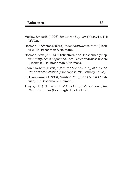- Mosley, Ernest E. (1996),*Basics for Baptists* (Nashville, TN: LifeWay).
- Norman, R. Stanton (2001a),*More Than Just a Name* (Nashville, TN: Broadman & Holman).
- Norman, Stan (2001b), "Distinctively and Unashamedly Baptist," Why I Am a Baptist, ed. Tom Nettles and Russell Moore (Nashville, TN: Broadman & Holman).
- Shank, Robert (1989), *Life in the Son: A Study of the Doc*trine of Perseverance (Minneapolis, MN: Bethany House).
- Sullivan, James (1998), *Baptist Polity: As I See It* (Nashville, TN: Broadman & Holman).
- Thayer, J.H. (1958 reprint), *A Greek-English Lexicon of the New Testament* (Edinburgh: T. & T. Clark).